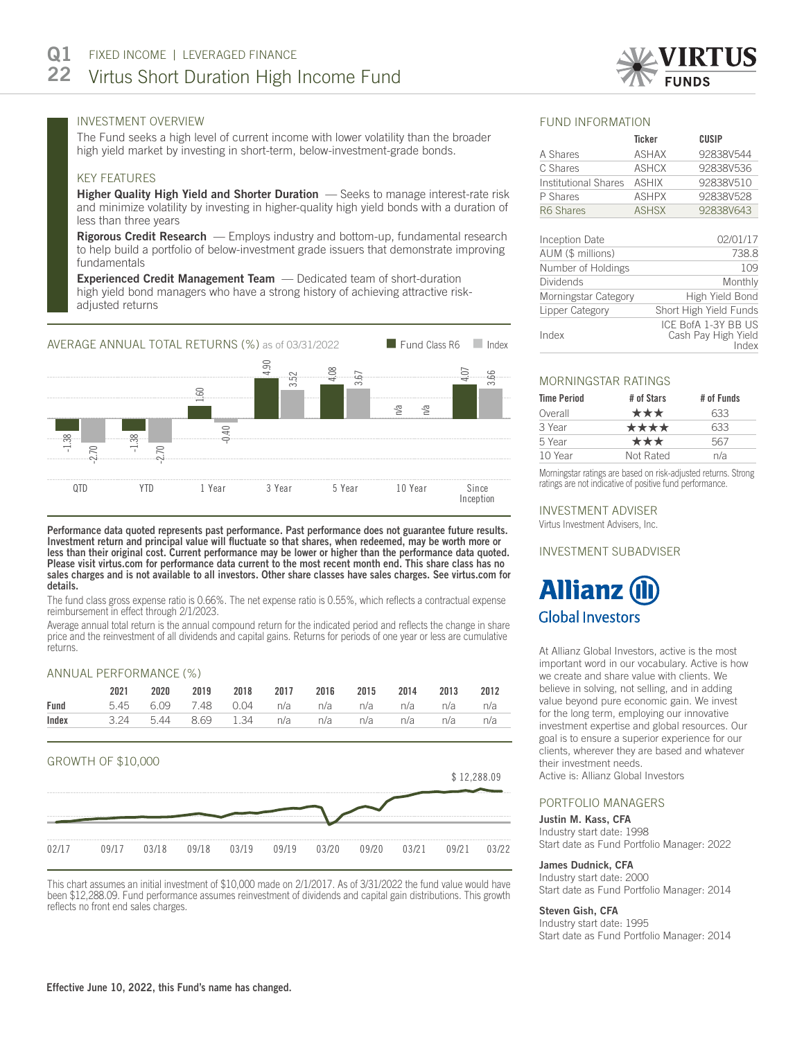

# INVESTMENT OVERVIEW

The Fund seeks a high level of current income with lower volatility than the broader high yield market by investing in short-term, below-investment-grade bonds.

# KEY FEATURES

Higher Quality High Yield and Shorter Duration - Seeks to manage interest-rate risk and minimize volatility by investing in higher-quality high yield bonds with a duration of less than three years

Rigorous Credit Research - Employs industry and bottom-up, fundamental research to help build a portfolio of below-investment grade issuers that demonstrate improving fundamentals

Experienced Credit Management Team - Dedicated team of short-duration high yield bond managers who have a strong history of achieving attractive riskadjusted returns



Performance data quoted represents past performance. Past performance does not guarantee future results. Investment return and principal value will fluctuate so that shares, when redeemed, may be worth more or less than their original cost. Current performance may be lower or higher than the performance data quoted. Please visit virtus.com for performance data current to the most recent month end. This share class has no sales charges and is not available to all investors. Other share classes have sales charges. See virtus.com for details.

The fund class gross expense ratio is 0.66%. The net expense ratio is 0.55%, which reflects a contractual expense reimbursement in effect through 2/1/2023.

Average annual total return is the annual compound return for the indicated period and reflects the change in share price and the reinvestment of all dividends and capital gains. Returns for periods of one year or less are cumulative returns.

## ANNUAL PERFORMANCE (%)

|                                                                          | 2021 |  | 2020 2019 2018 2017 2016 2015 2014 2013 2012 |  |  |  |
|--------------------------------------------------------------------------|------|--|----------------------------------------------|--|--|--|
| Fund                                                                     |      |  | 5.45 6.09 7.48 0.04 n/a n/a n/a n/a n/a n/a  |  |  |  |
| <b>Index</b> $3.24$ 5.44 $8.69$ 1.34 $n/a$ $n/a$ $n/a$ $n/a$ $n/a$ $n/a$ |      |  |                                              |  |  |  |



This chart assumes an initial investment of \$10,000 made on 2/1/2017. As of 3/31/2022 the fund value would have been \$12,288.09. Fund performance assumes reinvestment of dividends and capital gain distributions. This growth reflects no front end sales charges.

## FUND INFORMATION

|                             | Ticker       | CUSIP     |
|-----------------------------|--------------|-----------|
| A Shares                    | <b>ASHAX</b> | 92838V544 |
| C Shares                    | <b>ASHCX</b> | 92838V536 |
| <b>Institutional Shares</b> | <b>ASHIX</b> | 92838V510 |
| P Shares                    | <b>ASHPX</b> | 92838V528 |
| R6 Shares                   | <b>ASHSX</b> | 92838V643 |
|                             |              |           |

| Inception Date       | 02/01/17                                            |
|----------------------|-----------------------------------------------------|
| AUM (\$ millions)    | 738.8                                               |
| Number of Holdings   | 109                                                 |
| Dividends            | Monthly                                             |
| Morningstar Category | High Yield Bond                                     |
| Lipper Category      | Short High Yield Funds                              |
| Index                | ICE BofA 1-3Y BB US<br>Cash Pay High Yield<br>Index |

# MORNINGSTAR RATINGS

| # of Stars | # of Funds |
|------------|------------|
| ***        | 633        |
| ****       | 633        |
| ***        | 567        |
| Not Rated  | n/a        |
|            |            |

Morningstar ratings are based on risk-adjusted returns. Strong ratings are not indicative of positive fund performance.

# INVESTMENT ADVISER

Virtus Investment Advisers, Inc.

# INVESTMENT SUBADVISER

# **Allianz (i Global Investors**

At Allianz Global Investors, active is the most important word in our vocabulary. Active is how we create and share value with clients. We believe in solving, not selling, and in adding value beyond pure economic gain. We invest for the long term, employing our innovative investment expertise and global resources. Our goal is to ensure a superior experience for our clients, wherever they are based and whatever their investment needs.

Active is: Allianz Global Investors

#### PORTFOLIO MANAGERS

#### Justin M. Kass, CFA

Industry start date: 1998 Start date as Fund Portfolio Manager: 2022

# James Dudnick, CFA

Industry start date: 2000 Start date as Fund Portfolio Manager: 2014

#### Steven Gish, CFA

Industry start date: 1995 Start date as Fund Portfolio Manager: 2014